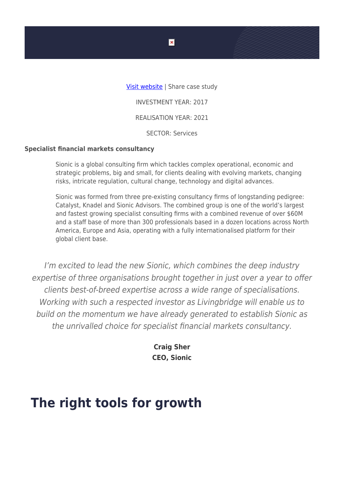

## **Specialist financial markets consultancy**

Sionic is a global consulting firm which tackles complex operational, economic and strategic problems, big and small, for clients dealing with evolving markets, changing risks, intricate regulation, cultural change, technology and digital advances.

Sionic was formed from three pre-existing consultancy firms of longstanding pedigree: Catalyst, Knadel and Sionic Advisors. The combined group is one of the world's largest and fastest growing specialist consulting firms with a combined revenue of over \$60M and a staff base of more than 300 professionals based in a dozen locations across North America, Europe and Asia, operating with a fully internationalised platform for their global client base.

I'm excited to lead the new Sionic, which combines the deep industry expertise of three organisations brought together in just over a year to offer clients best-of-breed expertise across a wide range of specialisations. Working with such a respected investor as Livingbridge will enable us to build on the momentum we have already generated to establish Sionic as the unrivalled choice for specialist financial markets consultancy.

> **Craig Sher CEO, Sionic**

## **The right tools for growth**

 $\pmb{\times}$